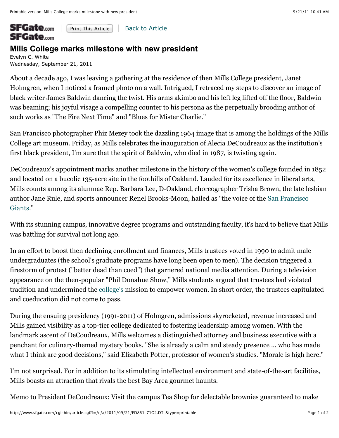## **SFGate.com** Print This Article | Back to Article **SFGate**.com

## **Mills College marks milestone with new president**

Evelyn C. White Wednesday, September 21, 2011

About a decade ago, I was leaving a gathering at the residence of then Mills College president, Janet Holmgren, when I noticed a framed photo on a wall. Intrigued, I retraced my steps to discover an image of black writer James Baldwin dancing the twist. His arms akimbo and his left leg lifted off the floor, Baldwin was beaming; his joyful visage a compelling counter to his persona as the perpetually brooding author of such works as "The Fire Next Time" and "Blues for Mister Charlie."

San Francisco photographer Phiz Mezey took the dazzling 1964 image that is among the holdings of the Mills College art museum. Friday, as Mills celebrates the inauguration of Alecia DeCoudreaux as the institution's first black president, I'm sure that the spirit of Baldwin, who died in 1987, is twisting again.

DeCoudreaux's appointment marks another milestone in the history of the women's college founded in 1852 and located on a bucolic 135-acre site in the foothills of Oakland. Lauded for its excellence in liberal arts, Mills counts among its alumnae Rep. Barbara Lee, D-Oakland, choreographer Trisha Brown, the late lesbian author Jane Rule, and sports announcer Renel Brooks-Moon, hailed as "the voice of the San Francisco Giants."

With its stunning campus, innovative degree programs and outstanding faculty, it's hard to believe that Mills was battling for survival not long ago.

In an effort to boost then declining enrollment and finances, Mills trustees voted in 1990 to admit male undergraduates (the school's graduate programs have long been open to men). The decision triggered a firestorm of protest ("better dead than coed") that garnered national media attention. During a television appearance on the then-popular "Phil Donahue Show," Mills students argued that trustees had violated tradition and undermined the college's mission to empower women. In short order, the trustees capitulated and coeducation did not come to pass.

During the ensuing presidency (1991-2011) of Holmgren, admissions skyrocketed, revenue increased and Mills gained visibility as a top-tier college dedicated to fostering leadership among women. With the landmark ascent of DeCoudreaux, Mills welcomes a distinguished attorney and business executive with a penchant for culinary-themed mystery books. "She is already a calm and steady presence ... who has made what I think are good decisions," said Elizabeth Potter, professor of women's studies. "Morale is high here."

I'm not surprised. For in addition to its stimulating intellectual environment and state-of-the-art facilities, Mills boasts an attraction that rivals the best Bay Area gourmet haunts.

Memo to President DeCoudreaux: Visit the campus Tea Shop for delectable brownies guaranteed to make